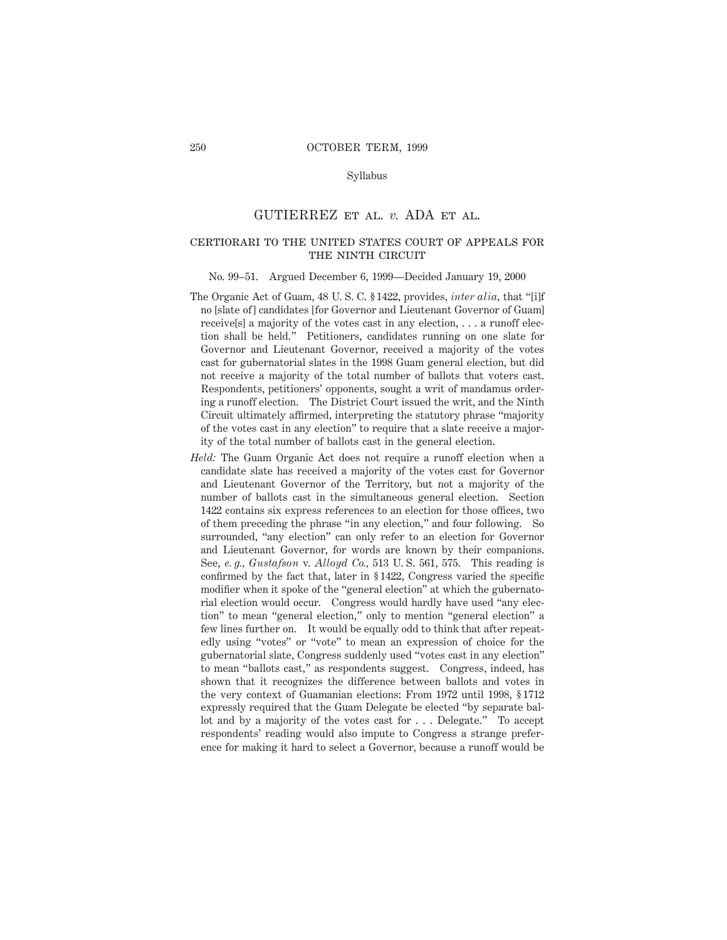## Syllabus

## GUTIERREZ et al. *v.* ADA et al.

# certiorari to the united states court of appeals for THE NINTH CIRCUIT

#### No. 99–51. Argued December 6, 1999—Decided January 19, 2000

- The Organic Act of Guam, 48 U. S. C. § 1422, provides, *inter alia,* that "[i]f no [slate of] candidates [for Governor and Lieutenant Governor of Guam] receive[s] a majority of the votes cast in any election, . . . a runoff election shall be held." Petitioners, candidates running on one slate for Governor and Lieutenant Governor, received a majority of the votes cast for gubernatorial slates in the 1998 Guam general election, but did not receive a majority of the total number of ballots that voters cast. Respondents, petitioners' opponents, sought a writ of mandamus ordering a runoff election. The District Court issued the writ, and the Ninth Circuit ultimately affirmed, interpreting the statutory phrase "majority of the votes cast in any election" to require that a slate receive a majority of the total number of ballots cast in the general election.
- *Held:* The Guam Organic Act does not require a runoff election when a candidate slate has received a majority of the votes cast for Governor and Lieutenant Governor of the Territory, but not a majority of the number of ballots cast in the simultaneous general election. Section 1422 contains six express references to an election for those offices, two of them preceding the phrase "in any election," and four following. So surrounded, "any election" can only refer to an election for Governor and Lieutenant Governor, for words are known by their companions. See, *e. g., Gustafson* v. *Alloyd Co.,* 513 U. S. 561, 575. This reading is confirmed by the fact that, later in § 1422, Congress varied the specific modifier when it spoke of the "general election" at which the gubernatorial election would occur. Congress would hardly have used "any election" to mean "general election," only to mention "general election" a few lines further on. It would be equally odd to think that after repeatedly using "votes" or "vote" to mean an expression of choice for the gubernatorial slate, Congress suddenly used "votes cast in any election" to mean "ballots cast," as respondents suggest. Congress, indeed, has shown that it recognizes the difference between ballots and votes in the very context of Guamanian elections: From 1972 until 1998, § 1712 expressly required that the Guam Delegate be elected "by separate ballot and by a majority of the votes cast for . . . Delegate." To accept respondents' reading would also impute to Congress a strange preference for making it hard to select a Governor, because a runoff would be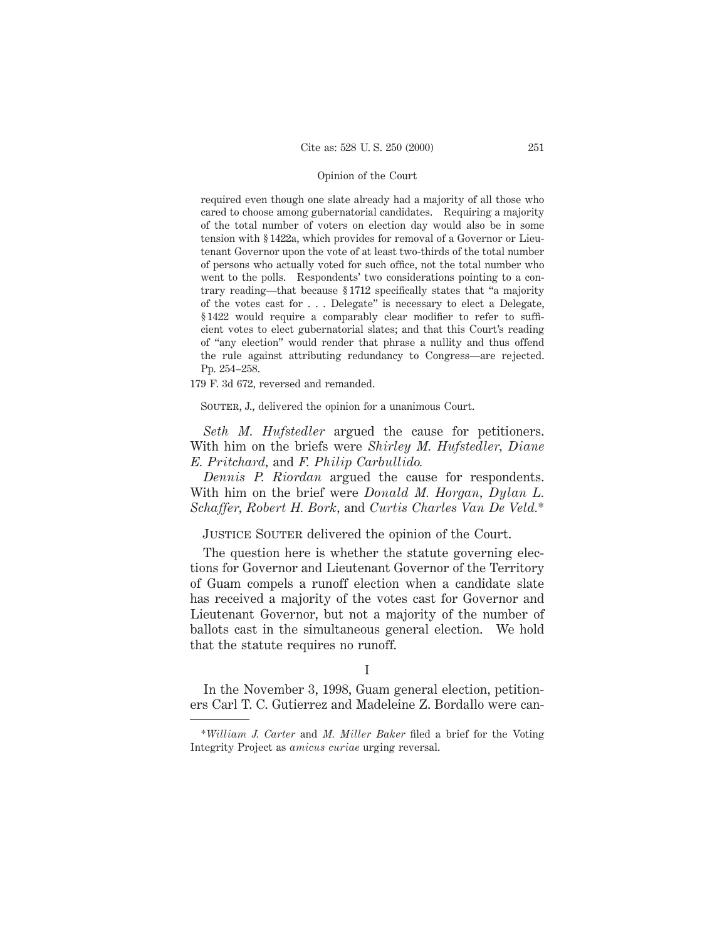required even though one slate already had a majority of all those who cared to choose among gubernatorial candidates. Requiring a majority of the total number of voters on election day would also be in some tension with § 1422a, which provides for removal of a Governor or Lieutenant Governor upon the vote of at least two-thirds of the total number of persons who actually voted for such office, not the total number who went to the polls. Respondents' two considerations pointing to a contrary reading—that because § 1712 specifically states that "a majority of the votes cast for . . . Delegate" is necessary to elect a Delegate, § 1422 would require a comparably clear modifier to refer to sufficient votes to elect gubernatorial slates; and that this Court's reading of "any election" would render that phrase a nullity and thus offend the rule against attributing redundancy to Congress—are rejected. Pp. 254–258.

179 F. 3d 672, reversed and remanded.

SOUTER, J., delivered the opinion for a unanimous Court.

*Seth M. Hufstedler* argued the cause for petitioners. With him on the briefs were *Shirley M. Hufstedler, Diane E. Pritchard,* and *F. Philip Carbullido.*

*Dennis P. Riordan* argued the cause for respondents. With him on the brief were *Donald M. Horgan, Dylan L. Schaffer, Robert H. Bork,* and *Curtis Charles Van De Veld.*\*

JUSTICE SOUTER delivered the opinion of the Court.

The question here is whether the statute governing elections for Governor and Lieutenant Governor of the Territory of Guam compels a runoff election when a candidate slate has received a majority of the votes cast for Governor and Lieutenant Governor, but not a majority of the number of ballots cast in the simultaneous general election. We hold that the statute requires no runoff.

In the November 3, 1998, Guam general election, petitioners Carl T. C. Gutierrez and Madeleine Z. Bordallo were can-

I

<sup>\*</sup>*William J. Carter* and *M. Miller Baker* filed a brief for the Voting Integrity Project as *amicus curiae* urging reversal.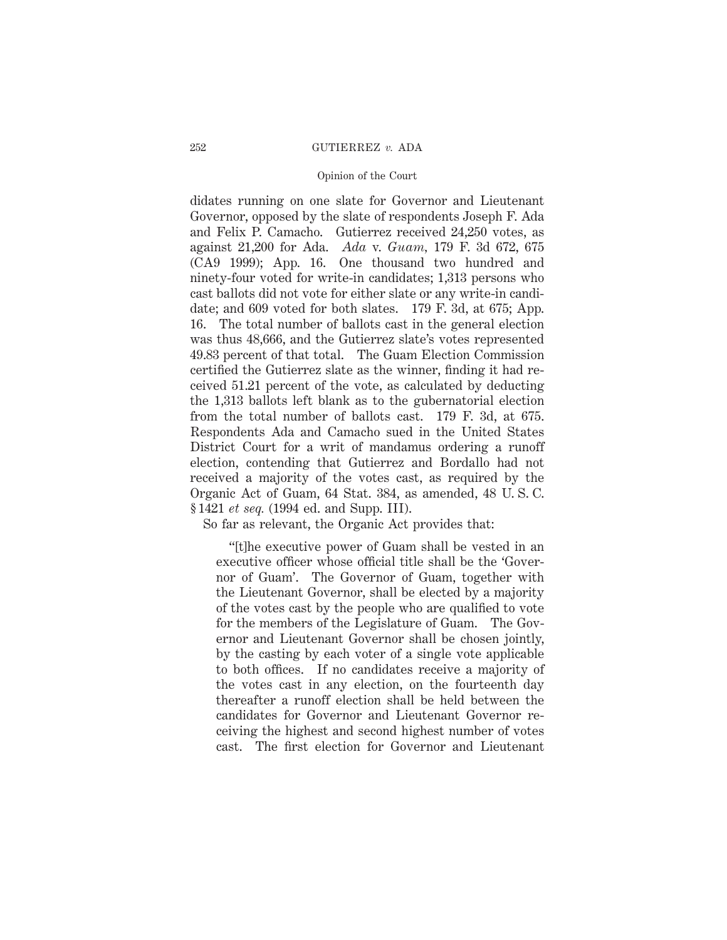## 252 GUTIERREZ *v.* ADA

## Opinion of the Court

didates running on one slate for Governor and Lieutenant Governor, opposed by the slate of respondents Joseph F. Ada and Felix P. Camacho. Gutierrez received 24,250 votes, as against 21,200 for Ada. *Ada* v. *Guam,* 179 F. 3d 672, 675 (CA9 1999); App. 16. One thousand two hundred and ninety-four voted for write-in candidates; 1,313 persons who cast ballots did not vote for either slate or any write-in candidate; and 609 voted for both slates. 179 F. 3d, at 675; App. 16. The total number of ballots cast in the general election was thus 48,666, and the Gutierrez slate's votes represented 49.83 percent of that total. The Guam Election Commission certified the Gutierrez slate as the winner, finding it had received 51.21 percent of the vote, as calculated by deducting the 1,313 ballots left blank as to the gubernatorial election from the total number of ballots cast. 179 F. 3d, at 675. Respondents Ada and Camacho sued in the United States District Court for a writ of mandamus ordering a runoff election, contending that Gutierrez and Bordallo had not received a majority of the votes cast, as required by the Organic Act of Guam, 64 Stat. 384, as amended, 48 U. S. C. § 1421 *et seq.* (1994 ed. and Supp. III).

So far as relevant, the Organic Act provides that:

"[t]he executive power of Guam shall be vested in an executive officer whose official title shall be the 'Governor of Guam'. The Governor of Guam, together with the Lieutenant Governor, shall be elected by a majority of the votes cast by the people who are qualified to vote for the members of the Legislature of Guam. The Governor and Lieutenant Governor shall be chosen jointly, by the casting by each voter of a single vote applicable to both offices. If no candidates receive a majority of the votes cast in any election, on the fourteenth day thereafter a runoff election shall be held between the candidates for Governor and Lieutenant Governor receiving the highest and second highest number of votes cast. The first election for Governor and Lieutenant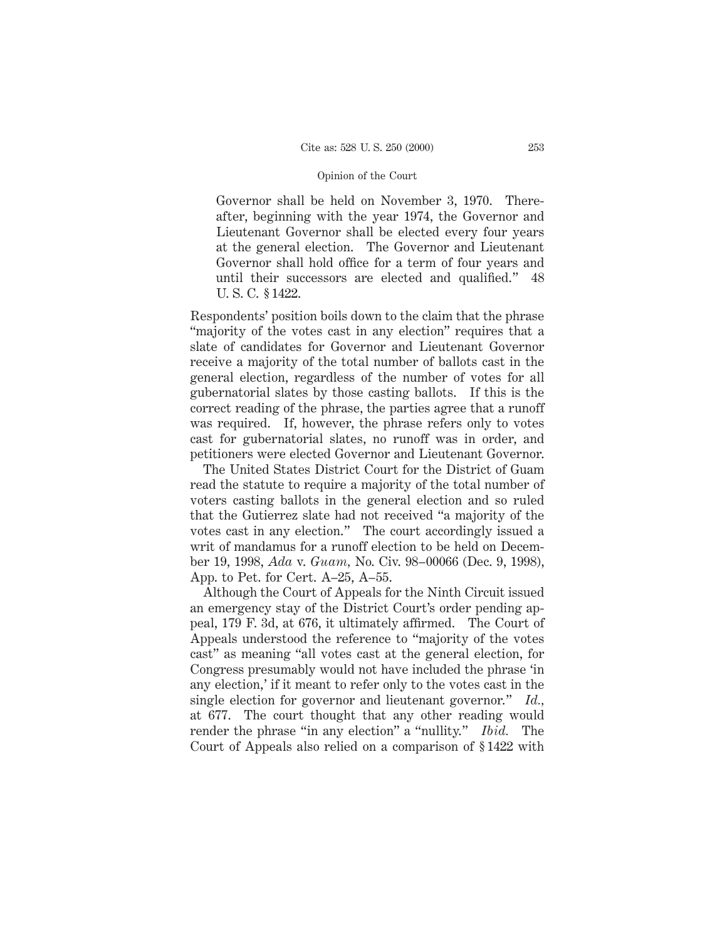Governor shall be held on November 3, 1970. Thereafter, beginning with the year 1974, the Governor and Lieutenant Governor shall be elected every four years at the general election. The Governor and Lieutenant Governor shall hold office for a term of four years and until their successors are elected and qualified." 48 U. S. C. § 1422.

Respondents' position boils down to the claim that the phrase "majority of the votes cast in any election" requires that a slate of candidates for Governor and Lieutenant Governor receive a majority of the total number of ballots cast in the general election, regardless of the number of votes for all gubernatorial slates by those casting ballots. If this is the correct reading of the phrase, the parties agree that a runoff was required. If, however, the phrase refers only to votes cast for gubernatorial slates, no runoff was in order, and petitioners were elected Governor and Lieutenant Governor.

The United States District Court for the District of Guam read the statute to require a majority of the total number of voters casting ballots in the general election and so ruled that the Gutierrez slate had not received "a majority of the votes cast in any election." The court accordingly issued a writ of mandamus for a runoff election to be held on December 19, 1998, *Ada* v. *Guam,* No. Civ. 98–00066 (Dec. 9, 1998), App. to Pet. for Cert. A–25, A–55.

Although the Court of Appeals for the Ninth Circuit issued an emergency stay of the District Court's order pending appeal, 179 F. 3d, at 676, it ultimately affirmed. The Court of Appeals understood the reference to "majority of the votes cast" as meaning "all votes cast at the general election, for Congress presumably would not have included the phrase 'in any election,' if it meant to refer only to the votes cast in the single election for governor and lieutenant governor." *Id.,* at 677. The court thought that any other reading would render the phrase "in any election" a "nullity." *Ibid.* The Court of Appeals also relied on a comparison of § 1422 with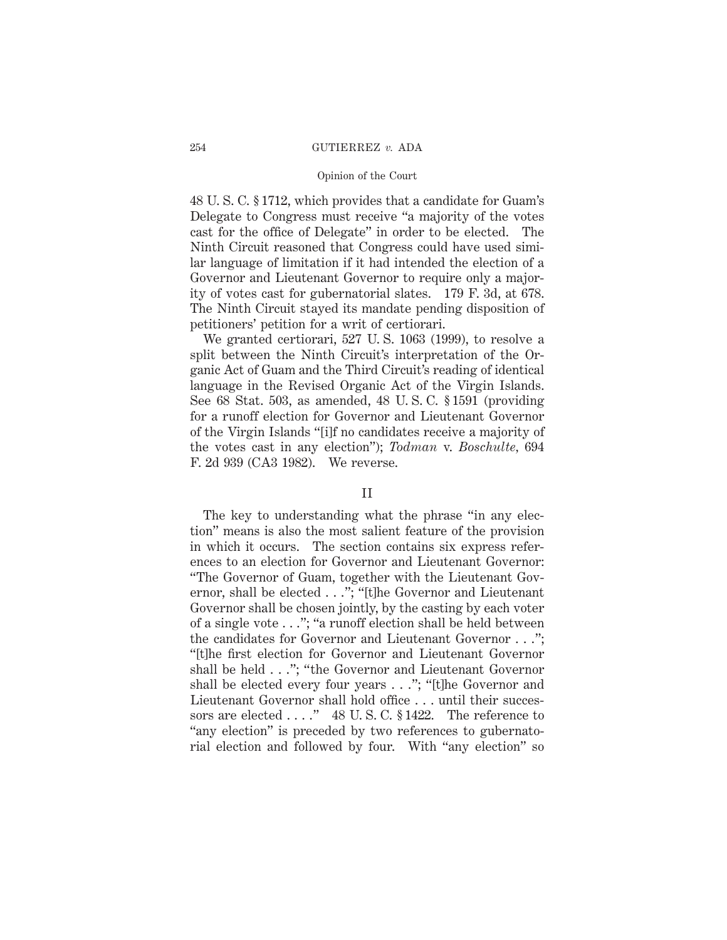## 254 GUTIERREZ *v.* ADA

## Opinion of the Court

48 U. S. C. § 1712, which provides that a candidate for Guam's Delegate to Congress must receive "a majority of the votes cast for the office of Delegate" in order to be elected. The Ninth Circuit reasoned that Congress could have used similar language of limitation if it had intended the election of a Governor and Lieutenant Governor to require only a majority of votes cast for gubernatorial slates. 179 F. 3d, at 678. The Ninth Circuit stayed its mandate pending disposition of petitioners' petition for a writ of certiorari.

We granted certiorari, 527 U. S. 1063 (1999), to resolve a split between the Ninth Circuit's interpretation of the Organic Act of Guam and the Third Circuit's reading of identical language in the Revised Organic Act of the Virgin Islands. See 68 Stat. 503, as amended, 48 U. S. C. § 1591 (providing for a runoff election for Governor and Lieutenant Governor of the Virgin Islands "[i]f no candidates receive a majority of the votes cast in any election"); *Todman* v. *Boschulte,* 694 F. 2d 939 (CA3 1982). We reverse.

# II

The key to understanding what the phrase "in any election" means is also the most salient feature of the provision in which it occurs. The section contains six express references to an election for Governor and Lieutenant Governor: "The Governor of Guam, together with the Lieutenant Governor, shall be elected . . ."; "[t]he Governor and Lieutenant Governor shall be chosen jointly, by the casting by each voter of a single vote . . ."; "a runoff election shall be held between the candidates for Governor and Lieutenant Governor . . ."; "[t]he first election for Governor and Lieutenant Governor shall be held . . ."; "the Governor and Lieutenant Governor shall be elected every four years . . ."; "[t]he Governor and Lieutenant Governor shall hold office . . . until their successors are elected . . . ." 48 U.S.C. § 1422. The reference to "any election" is preceded by two references to gubernatorial election and followed by four. With "any election" so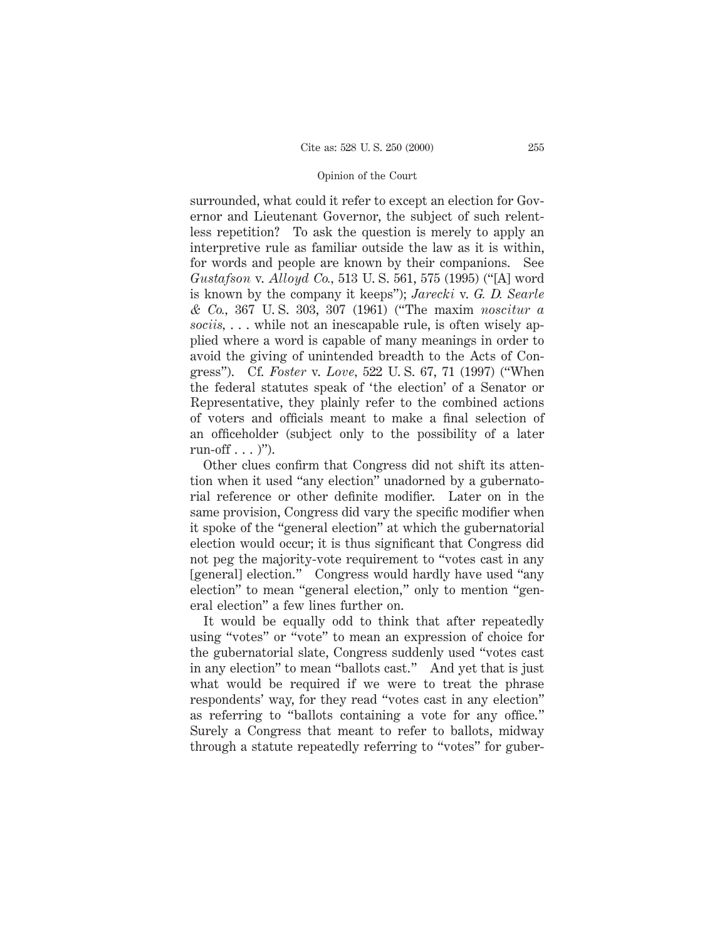surrounded, what could it refer to except an election for Governor and Lieutenant Governor, the subject of such relentless repetition? To ask the question is merely to apply an interpretive rule as familiar outside the law as it is within, for words and people are known by their companions. See *Gustafson* v. *Alloyd Co.,* 513 U. S. 561, 575 (1995) ("[A] word is known by the company it keeps"); *Jarecki* v. *G. D. Searle & Co.,* 367 U. S. 303, 307 (1961) ("The maxim *noscitur a sociis,* . . . while not an inescapable rule, is often wisely applied where a word is capable of many meanings in order to avoid the giving of unintended breadth to the Acts of Congress"). Cf. *Foster* v. *Love,* 522 U. S. 67, 71 (1997) ("When the federal statutes speak of 'the election' of a Senator or Representative, they plainly refer to the combined actions of voters and officials meant to make a final selection of an officeholder (subject only to the possibility of a later run-off  $\ldots$  )").

Other clues confirm that Congress did not shift its attention when it used "any election" unadorned by a gubernatorial reference or other definite modifier. Later on in the same provision, Congress did vary the specific modifier when it spoke of the "general election" at which the gubernatorial election would occur; it is thus significant that Congress did not peg the majority-vote requirement to "votes cast in any [general] election." Congress would hardly have used "any election" to mean "general election," only to mention "general election" a few lines further on.

It would be equally odd to think that after repeatedly using "votes" or "vote" to mean an expression of choice for the gubernatorial slate, Congress suddenly used "votes cast in any election" to mean "ballots cast." And yet that is just what would be required if we were to treat the phrase respondents' way, for they read "votes cast in any election" as referring to "ballots containing a vote for any office." Surely a Congress that meant to refer to ballots, midway through a statute repeatedly referring to "votes" for guber-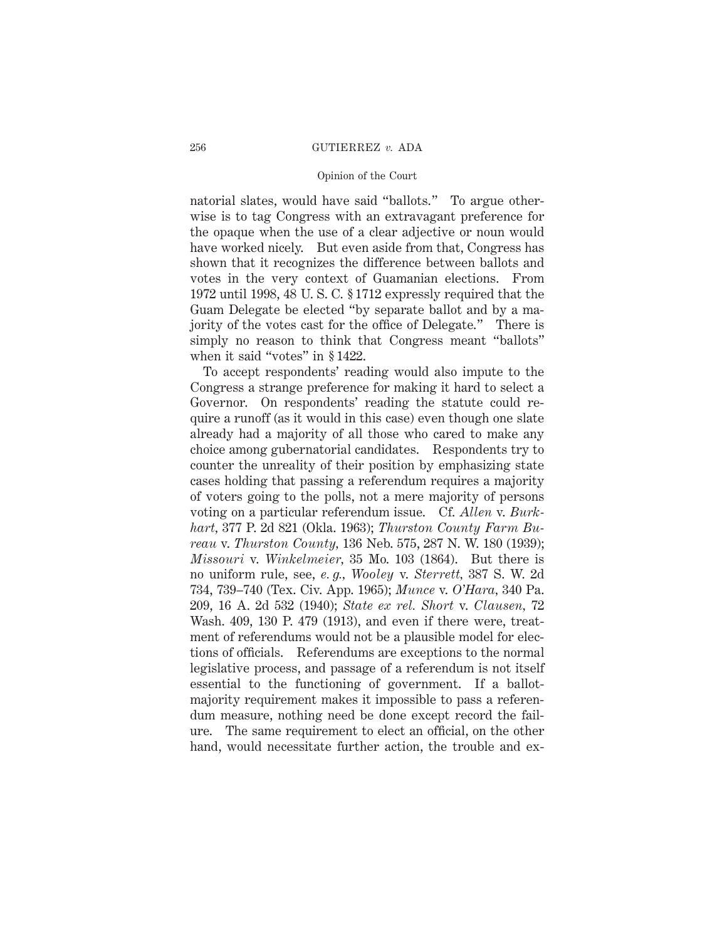## 256 GUTIERREZ *v.* ADA

## Opinion of the Court

natorial slates, would have said "ballots." To argue otherwise is to tag Congress with an extravagant preference for the opaque when the use of a clear adjective or noun would have worked nicely. But even aside from that, Congress has shown that it recognizes the difference between ballots and votes in the very context of Guamanian elections. From 1972 until 1998, 48 U. S. C. § 1712 expressly required that the Guam Delegate be elected "by separate ballot and by a majority of the votes cast for the office of Delegate." There is simply no reason to think that Congress meant "ballots" when it said "votes" in § 1422.

To accept respondents' reading would also impute to the Congress a strange preference for making it hard to select a Governor. On respondents' reading the statute could require a runoff (as it would in this case) even though one slate already had a majority of all those who cared to make any choice among gubernatorial candidates. Respondents try to counter the unreality of their position by emphasizing state cases holding that passing a referendum requires a majority of voters going to the polls, not a mere majority of persons voting on a particular referendum issue. Cf. *Allen* v. *Burkhart,* 377 P. 2d 821 (Okla. 1963); *Thurston County Farm Bureau* v. *Thurston County,* 136 Neb. 575, 287 N. W. 180 (1939); *Missouri* v. *Winkelmeier,* 35 Mo. 103 (1864). But there is no uniform rule, see, *e. g., Wooley* v. *Sterrett,* 387 S. W. 2d 734, 739–740 (Tex. Civ. App. 1965); *Munce* v. *O'Hara,* 340 Pa. 209, 16 A. 2d 532 (1940); *State ex rel. Short* v. *Clausen,* 72 Wash. 409, 130 P. 479 (1913), and even if there were, treatment of referendums would not be a plausible model for elections of officials. Referendums are exceptions to the normal legislative process, and passage of a referendum is not itself essential to the functioning of government. If a ballotmajority requirement makes it impossible to pass a referendum measure, nothing need be done except record the failure. The same requirement to elect an official, on the other hand, would necessitate further action, the trouble and ex-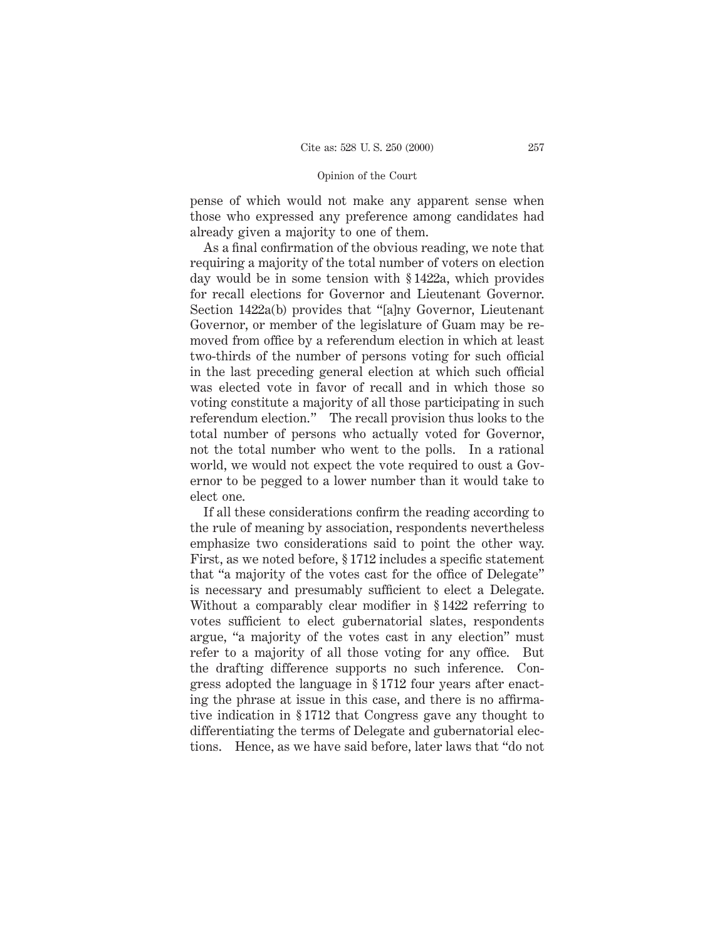pense of which would not make any apparent sense when those who expressed any preference among candidates had already given a majority to one of them.

As a final confirmation of the obvious reading, we note that requiring a majority of the total number of voters on election day would be in some tension with § 1422a, which provides for recall elections for Governor and Lieutenant Governor. Section 1422a(b) provides that "[a]ny Governor, Lieutenant Governor, or member of the legislature of Guam may be removed from office by a referendum election in which at least two-thirds of the number of persons voting for such official in the last preceding general election at which such official was elected vote in favor of recall and in which those so voting constitute a majority of all those participating in such referendum election." The recall provision thus looks to the total number of persons who actually voted for Governor, not the total number who went to the polls. In a rational world, we would not expect the vote required to oust a Governor to be pegged to a lower number than it would take to elect one.

If all these considerations confirm the reading according to the rule of meaning by association, respondents nevertheless emphasize two considerations said to point the other way. First, as we noted before, § 1712 includes a specific statement that "a majority of the votes cast for the office of Delegate" is necessary and presumably sufficient to elect a Delegate. Without a comparably clear modifier in § 1422 referring to votes sufficient to elect gubernatorial slates, respondents argue, "a majority of the votes cast in any election" must refer to a majority of all those voting for any office. But the drafting difference supports no such inference. Congress adopted the language in § 1712 four years after enacting the phrase at issue in this case, and there is no affirmative indication in § 1712 that Congress gave any thought to differentiating the terms of Delegate and gubernatorial elections. Hence, as we have said before, later laws that "do not